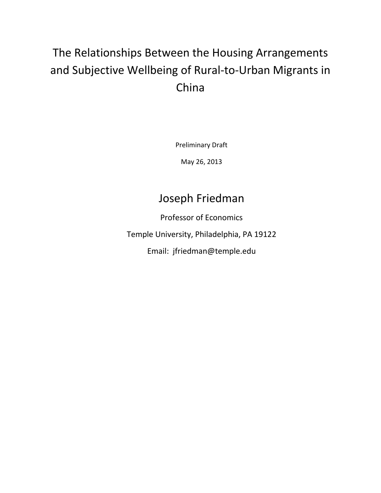# The Relationships Between the Housing Arrangements and Subjective Wellbeing of Rural-to-Urban Migrants in China

Preliminary Draft

May 26, 2013

# Joseph Friedman

Professor of Economics

Temple University, Philadelphia, PA 19122

Email: jfriedman@temple.edu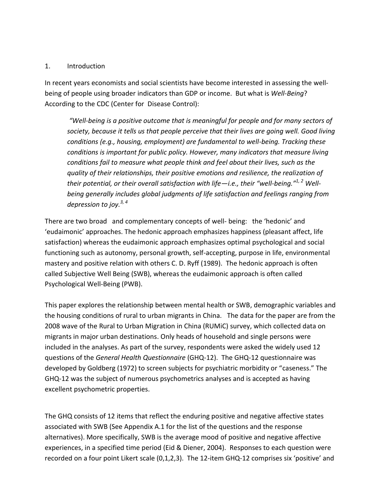#### 1. Introduction

In recent years economists and social scientists have become interested in assessing the wellbeing of people using broader indicators than GDP or income. But what is *Well-Being*? According to the CDC (Center for Disease Control):

*"Well-being is a positive outcome that is meaningful for people and for many sectors of society, because it tells us that people perceive that their lives are going well. Good living conditions (e.g., housing, employment) are fundamental to well-being. Tracking these conditions is important for public policy. However, many indicators that measure living conditions fail to measure what people think and feel about their lives, such as the quality of their relationships, their positive emotions and resilience, the realization of their potential, or their overall satisfaction with life—i.e., their "well-being."1, 2 Wellbeing generally includes global judgments of life satisfaction and feelings ranging from depression to joy.3, 4* 

There are two broad and complementary concepts of well- being: the 'hedonic' and 'eudaimonic' approaches. The hedonic approach emphasizes happiness (pleasant affect, life satisfaction) whereas the eudaimonic approach emphasizes optimal psychological and social functioning such as autonomy, personal growth, self-accepting, purpose in life, environmental mastery and positive relation with others C. D. Ryff (1989). The hedonic approach is often called Subjective Well Being (SWB), whereas the eudaimonic approach is often called Psychological Well-Being (PWB).

This paper explores the relationship between mental health or SWB, demographic variables and the housing conditions of rural to urban migrants in China. The data for the paper are from the 2008 wave of the Rural to Urban Migration in China (RUMiC) survey, which collected data on migrants in major urban destinations. Only heads of household and single persons were included in the analyses. As part of the survey, respondents were asked the widely used 12 questions of the *General Health Questionnaire* (GHQ-12). The GHQ-12 questionnaire was developed by Goldberg (1972) to screen subjects for psychiatric morbidity or "caseness." The GHQ-12 was the subject of numerous psychometrics analyses and is accepted as having excellent psychometric properties.

The GHQ consists of 12 items that reflect the enduring positive and negative affective states associated with SWB (See Appendix A.1 for the list of the questions and the response alternatives). More specifically, SWB is the average mood of positive and negative affective experiences, in a specified time period (Eid & Diener, 2004). Responses to each question were recorded on a four point Likert scale (0,1,2,3). The 12-item GHQ-12 comprises six 'positive' and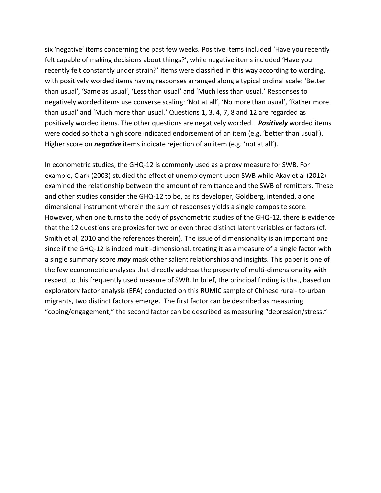six 'negative' items concerning the past few weeks. Positive items included 'Have you recently felt capable of making decisions about things?', while negative items included 'Have you recently felt constantly under strain?' Items were classified in this way according to wording, with positively worded items having responses arranged along a typical ordinal scale: 'Better than usual', 'Same as usual', 'Less than usual' and 'Much less than usual.' Responses to negatively worded items use converse scaling: 'Not at all', 'No more than usual', 'Rather more than usual' and 'Much more than usual.' Questions 1, 3, 4, 7, 8 and 12 are regarded as positively worded items. The other questions are negatively worded. *Positively* worded items were coded so that a high score indicated endorsement of an item (e.g. 'better than usual'). Higher score on *negative* items indicate rejection of an item (e.g. 'not at all').

In econometric studies, the GHQ-12 is commonly used as a proxy measure for SWB. For example, Clark (2003) studied the effect of unemployment upon SWB while Akay et al (2012) examined the relationship between the amount of remittance and the SWB of remitters. These and other studies consider the GHQ-12 to be, as its developer, Goldberg, intended, a one dimensional instrument wherein the sum of responses yields a single composite score. However, when one turns to the body of psychometric studies of the GHQ-12, there is evidence that the 12 questions are proxies for two or even three distinct latent variables or factors (cf. Smith et al, 2010 and the references therein). The issue of dimensionality is an important one since if the GHQ-12 is indeed multi-dimensional, treating it as a measure of a single factor with a single summary score *may* mask other salient relationships and insights. This paper is one of the few econometric analyses that directly address the property of multi-dimensionality with respect to this frequently used measure of SWB. In brief, the principal finding is that, based on exploratory factor analysis (EFA) conducted on this RUMIC sample of Chinese rural- to-urban migrants, two distinct factors emerge. The first factor can be described as measuring "coping/engagement," the second factor can be described as measuring "depression/stress."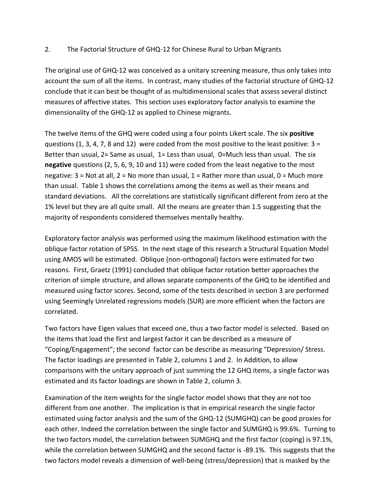### 2. The Factorial Structure of GHQ-12 for Chinese Rural to Urban Migrants

The original use of GHQ-12 was conceived as a unitary screening measure, thus only takes into account the sum of all the items. In contrast, many studies of the factorial structure of GHQ-12 conclude that it can best be thought of as multidimensional scales that assess several distinct measures of affective states. This section uses exploratory factor analysis to examine the dimensionality of the GHQ-12 as applied to Chinese migrants.

The twelve items of the GHQ were coded using a four points Likert scale. The six **positive** questions (1, 3, 4, 7, 8 and 12) were coded from the most positive to the least positive:  $3 =$ Better than usual, 2= Same as usual, 1= Less than usual, 0=Much less than usual. The six **negative** questions (2, 5, 6, 9, 10 and 11) were coded from the least negative to the most negative:  $3$  = Not at all,  $2$  = No more than usual,  $1$  = Rather more than usual,  $0$  = Much more than usual. Table 1 shows the correlations among the items as well as their means and standard deviations. All the correlations are statistically significant different from zero at the 1% level but they are all quite small. All the means are greater than 1.5 suggesting that the majority of respondents considered themselves mentally healthy.

Exploratory factor analysis was performed using the maximum likelihood estimation with the oblique factor rotation of SPSS. In the next stage of this research a Structural Equation Model using AMOS will be estimated. Oblique (non-orthogonal) factors were estimated for two reasons. First, Graetz (1991) concluded that oblique factor rotation better approaches the criterion of simple structure, and allows separate components of the GHQ to be identified and measured using factor scores. Second, some of the tests described in section 3 are performed using Seemingly Unrelated regressions models (SUR) are more efficient when the factors are correlated.

Two factors have Eigen values that exceed one, thus a two factor model is selected. Based on the items that load the first and largest factor it can be described as a measure of "Coping/Engagement"; the second factor can be describe as measuring "Depression/ Stress. The factor loadings are presented in Table 2, columns 1 and 2. In Addition, to allow comparisons with the unitary approach of just summing the 12 GHQ items, a single factor was estimated and its factor loadings are shown in Table 2, column 3.

Examination of the item weights for the single factor model shows that they are not too different from one another. The implication is that in empirical research the single factor estimated using factor analysis and the sum of the GHQ-12 (SUMGHQ) can be good proxies for each other. Indeed the correlation between the single factor and SUMGHQ is 99.6%. Turning to the two factors model, the correlation between SUMGHQ and the first factor (coping) is 97.1%, while the correlation between SUMGHQ and the second factor is -89.1%. This suggests that the two factors model reveals a dimension of well-being (stress/depression) that is masked by the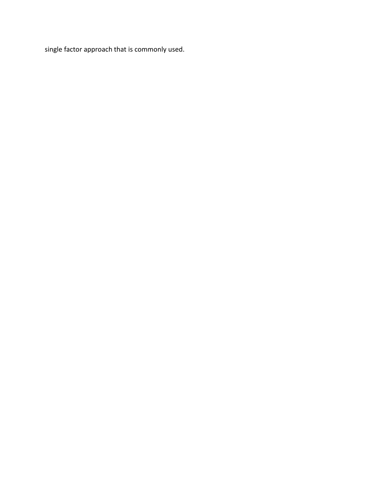single factor approach that is commonly used.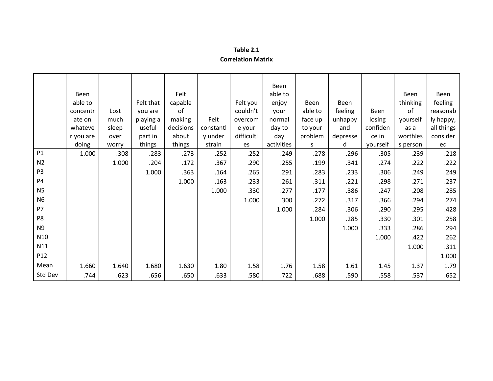| Table 2.1                 |  |
|---------------------------|--|
| <b>Correlation Matrix</b> |  |

|                | Been<br>able to<br>concentr<br>ate on<br>whateve<br>r you are | Lost<br>much<br>sleep<br>over | Felt that<br>you are<br>playing a<br>useful<br>part in | Felt<br>capable<br>of<br>making<br>decisions<br>about | Felt<br>constantl<br>y under | Felt you<br>couldn't<br>overcom<br>e your<br>difficulti | Been<br>able to<br>enjoy<br>your<br>normal<br>day to<br>day | Been<br>able to<br>face up<br>to your<br>problem | Been<br>feeling<br>unhappy<br>and<br>depresse | Been<br>losing<br>confiden<br>ce in | Been<br>thinking<br>of<br>yourself<br>as a<br>worthles | Been<br>feeling<br>reasonab<br>ly happy,<br>all things<br>consider |
|----------------|---------------------------------------------------------------|-------------------------------|--------------------------------------------------------|-------------------------------------------------------|------------------------------|---------------------------------------------------------|-------------------------------------------------------------|--------------------------------------------------|-----------------------------------------------|-------------------------------------|--------------------------------------------------------|--------------------------------------------------------------------|
|                | doing                                                         | worry                         | things                                                 | things                                                | strain                       | es                                                      | activities                                                  | S                                                | d                                             | yourself                            | s person                                               | ed                                                                 |
| P1             | 1.000                                                         | .308                          | .283                                                   | .273                                                  | .252                         | .252                                                    | .249                                                        | .278                                             | .296                                          | .305                                | .239                                                   | .218                                                               |
| N <sub>2</sub> |                                                               | 1.000                         | .204                                                   | .172                                                  | .367                         | .290                                                    | .255                                                        | .199                                             | .341                                          | .274                                | .222                                                   | .222                                                               |
| P <sub>3</sub> |                                                               |                               | 1.000                                                  | .363                                                  | .164                         | .265                                                    | .291                                                        | .283                                             | .233                                          | .306                                | .249                                                   | .249                                                               |
| P <sub>4</sub> |                                                               |                               |                                                        | 1.000                                                 | .163                         | .233                                                    | .261                                                        | .311                                             | .221                                          | .298                                | .271                                                   | .237                                                               |
| <b>N5</b>      |                                                               |                               |                                                        |                                                       | 1.000                        | .330                                                    | .277                                                        | .177                                             | .386                                          | .247                                | .208                                                   | .285                                                               |
| N <sub>6</sub> |                                                               |                               |                                                        |                                                       |                              | 1.000                                                   | .300                                                        | .272                                             | .317                                          | .366                                | .294                                                   | .274                                                               |
| P7             |                                                               |                               |                                                        |                                                       |                              |                                                         | 1.000                                                       | .284                                             | .306                                          | .290                                | .295                                                   | .428                                                               |
| P8             |                                                               |                               |                                                        |                                                       |                              |                                                         |                                                             | 1.000                                            | .285                                          | .330                                | .301                                                   | .258                                                               |
| N <sub>9</sub> |                                                               |                               |                                                        |                                                       |                              |                                                         |                                                             |                                                  | 1.000                                         | .333                                | .286                                                   | .294                                                               |
| N10            |                                                               |                               |                                                        |                                                       |                              |                                                         |                                                             |                                                  |                                               | 1.000                               | .422                                                   | .262                                                               |
| N11            |                                                               |                               |                                                        |                                                       |                              |                                                         |                                                             |                                                  |                                               |                                     | 1.000                                                  | .311                                                               |
| P12            |                                                               |                               |                                                        |                                                       |                              |                                                         |                                                             |                                                  |                                               |                                     |                                                        | 1.000                                                              |
| Mean           | 1.660                                                         | 1.640                         | 1.680                                                  | 1.630                                                 | 1.80                         | 1.58                                                    | 1.76                                                        | 1.58                                             | 1.61                                          | 1.45                                | 1.37                                                   | 1.79                                                               |
| Std Dev        | .744                                                          | .623                          | .656                                                   | .650                                                  | .633                         | .580                                                    | .722                                                        | .688                                             | .590                                          | .558                                | .537                                                   | .652                                                               |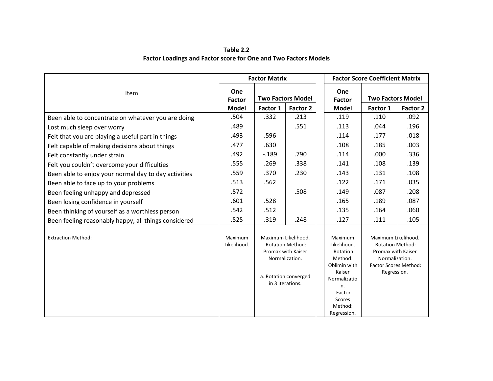#### **Table 2.2 Factor Loadings and Factor score for One and Two Factors Models**

|                                                      | <b>Factor Matrix</b>   |                                                                                                                                     |          |  |                                                                                                                                                                                                                                                                                             | <b>Factor Score Coefficient Matrix</b> |          |  |
|------------------------------------------------------|------------------------|-------------------------------------------------------------------------------------------------------------------------------------|----------|--|---------------------------------------------------------------------------------------------------------------------------------------------------------------------------------------------------------------------------------------------------------------------------------------------|----------------------------------------|----------|--|
| Item                                                 | One<br><b>Factor</b>   | <b>Two Factors Model</b>                                                                                                            |          |  | One<br><b>Factor</b>                                                                                                                                                                                                                                                                        | <b>Two Factors Model</b>               |          |  |
|                                                      | <b>Model</b>           | Factor 1                                                                                                                            | Factor 2 |  | <b>Model</b>                                                                                                                                                                                                                                                                                | Factor 1                               | Factor 2 |  |
| Been able to concentrate on whatever you are doing   | .504                   | .332                                                                                                                                | .213     |  | .119                                                                                                                                                                                                                                                                                        | .110                                   | .092     |  |
| Lost much sleep over worry                           | .489                   |                                                                                                                                     | .551     |  | .113                                                                                                                                                                                                                                                                                        | .044                                   | .196     |  |
| Felt that you are playing a useful part in things    | .493                   | .596                                                                                                                                |          |  | .114                                                                                                                                                                                                                                                                                        | .177                                   | .018     |  |
| Felt capable of making decisions about things        | .477                   | .630                                                                                                                                |          |  | .108                                                                                                                                                                                                                                                                                        | .185                                   | .003     |  |
| Felt constantly under strain                         | .492                   | $-189$                                                                                                                              | .790     |  | .114                                                                                                                                                                                                                                                                                        | .000                                   | .336     |  |
| Felt you couldn't overcome your difficulties         | .555                   | .269                                                                                                                                | .338     |  | .141                                                                                                                                                                                                                                                                                        | .108                                   | .139     |  |
| Been able to enjoy your normal day to day activities | .559                   | .370                                                                                                                                | .230     |  | .143                                                                                                                                                                                                                                                                                        | .131                                   | .108     |  |
| Been able to face up to your problems                | .513                   | .562                                                                                                                                |          |  | .122                                                                                                                                                                                                                                                                                        | .171                                   | .035     |  |
| Been feeling unhappy and depressed                   | .572                   |                                                                                                                                     | .508     |  | .149                                                                                                                                                                                                                                                                                        | .087                                   | .208     |  |
| Been losing confidence in yourself                   | .601                   | .528                                                                                                                                |          |  | .165                                                                                                                                                                                                                                                                                        | .189                                   | .087     |  |
| Been thinking of yourself as a worthless person      | .542                   | .512                                                                                                                                |          |  | .135                                                                                                                                                                                                                                                                                        | .164                                   | .060     |  |
| Been feeling reasonably happy, all things considered | .525                   | .319                                                                                                                                | .248     |  | .127                                                                                                                                                                                                                                                                                        | .111                                   | .105     |  |
| <b>Extraction Method:</b>                            | Maximum<br>Likelihood. | Maximum Likelihood.<br><b>Rotation Method:</b><br>Promax with Kaiser<br>Normalization.<br>a. Rotation converged<br>in 3 iterations. |          |  | Maximum Likelihood.<br>Maximum<br>Likelihood.<br><b>Rotation Method:</b><br>Promax with Kaiser<br>Rotation<br>Method:<br>Normalization.<br>Oblimin with<br><b>Factor Scores Method:</b><br>Kaiser<br>Regression.<br>Normalizatio<br>n.<br>Factor<br><b>Scores</b><br>Method:<br>Regression. |                                        |          |  |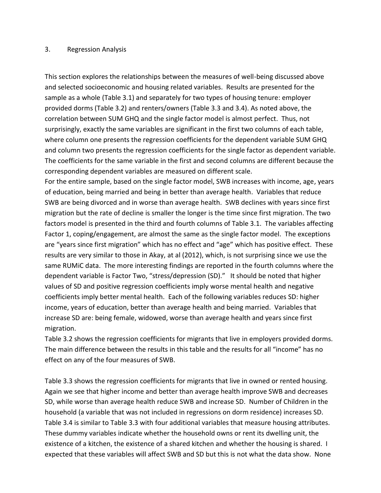#### 3. Regression Analysis

This section explores the relationships between the measures of well-being discussed above and selected socioeconomic and housing related variables. Results are presented for the sample as a whole (Table 3.1) and separately for two types of housing tenure: employer provided dorms (Table 3.2) and renters/owners (Table 3.3 and 3.4). As noted above, the correlation between SUM GHQ and the single factor model is almost perfect. Thus, not surprisingly, exactly the same variables are significant in the first two columns of each table, where column one presents the regression coefficients for the dependent variable SUM GHQ and column two presents the regression coefficients for the single factor as dependent variable. The coefficients for the same variable in the first and second columns are different because the corresponding dependent variables are measured on different scale.

For the entire sample, based on the single factor model, SWB increases with income, age, years of education, being married and being in better than average health. Variables that reduce SWB are being divorced and in worse than average health. SWB declines with years since first migration but the rate of decline is smaller the longer is the time since first migration. The two factors model is presented in the third and fourth columns of Table 3.1. The variables affecting Factor 1, coping/engagement, are almost the same as the single factor model. The exceptions are "years since first migration" which has no effect and "age" which has positive effect. These results are very similar to those in Akay, at al (2012), which, is not surprising since we use the same RUMiC data. The more interesting findings are reported in the fourth columns where the dependent variable is Factor Two, "stress/depression (SD)." It should be noted that higher values of SD and positive regression coefficients imply worse mental health and negative coefficients imply better mental health. Each of the following variables reduces SD: higher income, years of education, better than average health and being married. Variables that increase SD are: being female, widowed, worse than average health and years since first migration.

Table 3.2 shows the regression coefficients for migrants that live in employers provided dorms. The main difference between the results in this table and the results for all "income" has no effect on any of the four measures of SWB.

Table 3.3 shows the regression coefficients for migrants that live in owned or rented housing. Again we see that higher income and better than average health improve SWB and decreases SD, while worse than average health reduce SWB and increase SD. Number of Children in the household (a variable that was not included in regressions on dorm residence) increases SD. Table 3.4 is similar to Table 3.3 with four additional variables that measure housing attributes. These dummy variables indicate whether the household owns or rent its dwelling unit, the existence of a kitchen, the existence of a shared kitchen and whether the housing is shared. I expected that these variables will affect SWB and SD but this is not what the data show. None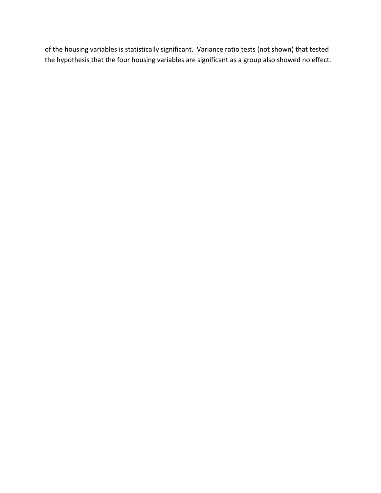of the housing variables is statistically significant. Variance ratio tests (not shown) that tested the hypothesis that the four housing variables are significant as a group also showed no effect.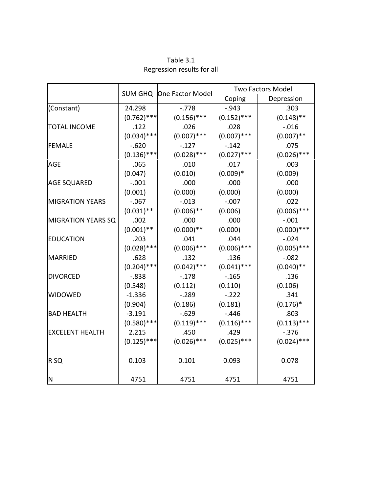|                           |               |                          | <b>Two Factors Model</b> |               |  |  |
|---------------------------|---------------|--------------------------|--------------------------|---------------|--|--|
|                           |               | SUM GHQ One Factor Model | Coping                   | Depression    |  |  |
| (Constant)                | 24.298        | $-.778$                  | $-0.943$                 | .303          |  |  |
|                           | $(0.762)$ *** | $(0.156)$ ***            | $(0.152)$ ***            | $(0.148)$ **  |  |  |
| <b>TOTAL INCOME</b>       | .122          | .026                     | .028                     | $-0.016$      |  |  |
|                           | $(0.034)$ *** | $(0.007)$ ***            | $(0.007)$ ***            | $(0.007)$ **  |  |  |
| <b>FEMALE</b>             | $-.620$       | $-.127$                  | $-.142$                  | .075          |  |  |
|                           | $(0.136)$ *** | $(0.028)$ ***            | $(0.027)$ ***            | $(0.026)$ *** |  |  |
| <b>AGE</b>                | .065          | .010                     | .017                     | .003          |  |  |
|                           | (0.047)       | (0.010)                  | $(0.009)*$               | (0.009)       |  |  |
| <b>AGE SQUARED</b>        | $-.001$       | .000                     | .000                     | .000          |  |  |
|                           | (0.001)       | (0.000)                  | (0.000)                  | (0.000)       |  |  |
| <b>MIGRATION YEARS</b>    | $-0.067$      | $-.013$                  | $-.007$                  | .022          |  |  |
|                           | $(0.031)$ **  | $(0.006)$ **             | (0.006)                  | $(0.006)$ *** |  |  |
| <b>MIGRATION YEARS SQ</b> | .002          | .000                     | .000                     | $-.001$       |  |  |
|                           | $(0.001)$ **  | $(0.000)**$              | (0.000)                  | $(0.000)$ *** |  |  |
| <b>EDUCATION</b>          | .203          | .041                     | .044                     | $-0.024$      |  |  |
|                           | $(0.028)$ *** | $(0.006)$ ***            | $(0.006)$ ***            | $(0.005)$ *** |  |  |
| MARRIED                   | .628          | .132                     | .136                     | $-0.082$      |  |  |
|                           | $(0.204)$ *** | $(0.042)$ ***            | $(0.041)$ ***            | $(0.040)$ **  |  |  |
| <b>DIVORCED</b>           | $-0.838$      | $-.178$                  | $-0.165$                 | .136          |  |  |
|                           | (0.548)       | (0.112)                  | (0.110)                  | (0.106)       |  |  |
| <b>WIDOWED</b>            | $-1.336$      | $-.289$                  | $-.222$                  | .341          |  |  |
|                           | (0.904)       | (0.186)                  | (0.181)                  | $(0.176)^*$   |  |  |
| <b>BAD HEALTH</b>         | $-3.191$      | $-0.629$                 | $-.446$                  | .803          |  |  |
|                           | $(0.580)$ *** | $(0.119)$ ***            | $(0.116)$ ***            | $(0.113)$ *** |  |  |
| <b>EXCELENT HEALTH</b>    | 2.215         | .450                     | .429                     | $-0.376$      |  |  |
|                           | $(0.125)$ *** | $(0.026)$ ***            | $(0.025)$ ***            | $(0.024)$ *** |  |  |
| R <sub>SQ</sub>           | 0.103         | 0.101                    | 0.093                    | 0.078         |  |  |
| N                         | 4751          | 4751                     | 4751                     | 4751          |  |  |

Table 3.1 Regression results for all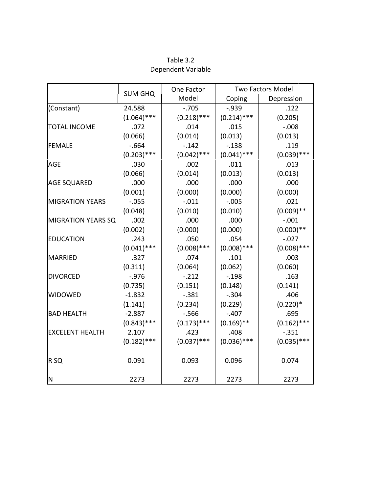|                           |                | One Factor    | <b>Two Factors Model</b> |               |  |  |
|---------------------------|----------------|---------------|--------------------------|---------------|--|--|
|                           | <b>SUM GHQ</b> | Model         | Coping                   | Depression    |  |  |
| (Constant)                | 24.588         | $-.705$       | $-0.939$                 | .122          |  |  |
|                           | $(1.064)$ ***  | $(0.218)$ *** | $(0.214)$ ***            | (0.205)       |  |  |
| <b>TOTAL INCOME</b>       | .072           | .014          | .015                     | $-0.008$      |  |  |
|                           | (0.066)        | (0.014)       | (0.013)                  | (0.013)       |  |  |
| <b>FEMALE</b>             | $-664$         | $-.142$       | $-.138$                  | .119          |  |  |
|                           | $(0.203)$ ***  | $(0.042)$ *** | $(0.041)$ ***            | $(0.039)$ *** |  |  |
| AGE                       | .030           | .002          | .011                     | .013          |  |  |
|                           | (0.066)        | (0.014)       | (0.013)                  | (0.013)       |  |  |
| <b>AGE SQUARED</b>        | .000           | .000          | .000                     | .000          |  |  |
|                           | (0.001)        | (0.000)       | (0.000)                  | (0.000)       |  |  |
| <b>MIGRATION YEARS</b>    | $-0.055$       | $-.011$       | $-.005$                  | .021          |  |  |
|                           | (0.048)        | (0.010)       | (0.010)                  | $(0.009)$ **  |  |  |
| <b>MIGRATION YEARS SQ</b> | .002           | .000          | .000                     | $-.001$       |  |  |
|                           | (0.002)        | (0.000)       | (0.000)                  | $(0.000)**$   |  |  |
| <b>EDUCATION</b>          | .243           | .050          | .054                     | $-0.027$      |  |  |
|                           | $(0.041)$ ***  | $(0.008)$ *** | $(0.008)$ ***            | $(0.008)$ *** |  |  |
| <b>MARRIED</b>            | .327           | .074          | .101                     | .003          |  |  |
|                           | (0.311)        | (0.064)       | (0.062)                  | (0.060)       |  |  |
| <b>DIVORCED</b>           | $-.976$        | $-.212$       | $-.198$                  | .163          |  |  |
|                           | (0.735)        | (0.151)       | (0.148)                  | (0.141)       |  |  |
| <b>WIDOWED</b>            | $-1.832$       | $-.381$       | $-.304$                  | .406          |  |  |
|                           | (1.141)        | (0.234)       | (0.229)                  | $(0.220)*$    |  |  |
| <b>BAD HEALTH</b>         | $-2.887$       | $-0.566$      | $-.407$                  | .695          |  |  |
|                           | $(0.843)$ ***  | $(0.173)$ *** | $(0.169)$ **             | $(0.162)$ *** |  |  |
| <b>EXCELENT HEALTH</b>    | 2.107          | .423          | .408                     | $-0.351$      |  |  |
|                           | $(0.182)$ ***  | $(0.037)$ *** | $(0.036)$ ***            | $(0.035)$ *** |  |  |
| R <sub>SQ</sub>           | 0.091          | 0.093         | 0.096                    | 0.074         |  |  |
| lΝ                        | 2273           | 2273          | 2273                     | 2273          |  |  |

Table 3.2 Dependent Variable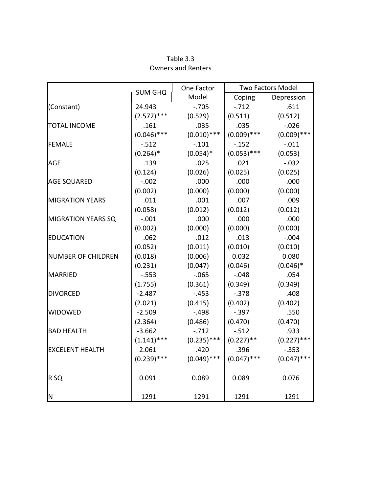|                           | <b>SUM GHQ</b> | One Factor    |               | Two Factors Model      |  |  |
|---------------------------|----------------|---------------|---------------|------------------------|--|--|
|                           |                | Model         | Coping        | Depression             |  |  |
| (Constant)                | 24.943         | $-0.705$      | $-.712$       | .611                   |  |  |
|                           | $(2.572)$ ***  | (0.529)       | (0.511)       | (0.512)                |  |  |
| <b>TOTAL INCOME</b>       | .161           | .035          | .035          | $-0.026$               |  |  |
|                           | $(0.046)$ ***  | $(0.010)$ *** | $(0.009)$ *** | $(0.009)$ ***          |  |  |
| <b>FEMALE</b>             | $-0.512$       | $-.101$       | $-0.152$      | $-.011$                |  |  |
|                           | $(0.264)$ *    | $(0.054)*$    | $(0.053)$ *** | (0.053)                |  |  |
| <b>AGE</b>                | .139           | .025          | .021          | $-.032$                |  |  |
|                           | (0.124)        | (0.026)       | (0.025)       | (0.025)                |  |  |
| <b>AGE SQUARED</b>        | $-.002$        | .000          | .000          | .000                   |  |  |
|                           | (0.002)        | (0.000)       | (0.000)       | (0.000)                |  |  |
| <b>MIGRATION YEARS</b>    | .011           | .001          | .007          | .009                   |  |  |
|                           | (0.058)        | (0.012)       | (0.012)       | (0.012)                |  |  |
| <b>MIGRATION YEARS SQ</b> | $-.001$        | .000          | .000          | .000                   |  |  |
|                           | (0.002)        | (0.000)       | (0.000)       | (0.000)                |  |  |
| <b>EDUCATION</b>          | .062           | .012          | .013          | $-.004$                |  |  |
|                           | (0.052)        | (0.011)       | (0.010)       | (0.010)                |  |  |
| <b>NUMBER OF CHILDREN</b> | (0.018)        | (0.006)       | 0.032         | 0.080                  |  |  |
|                           | (0.231)        | (0.047)       | (0.046)       | $(0.046)$ <sup>*</sup> |  |  |
| <b>MARRIED</b>            | $-0.553$       | $-.065$       | $-.048$       | .054                   |  |  |
|                           | (1.755)        | (0.361)       | (0.349)       | (0.349)                |  |  |
| <b>DIVORCED</b>           | $-2.487$       | $-.453$       | $-.378$       | .408                   |  |  |
|                           | (2.021)        | (0.415)       | (0.402)       | (0.402)                |  |  |
| <b>WIDOWED</b>            | $-2.509$       | $-.498$       | $-.397$       | .550                   |  |  |
|                           | (2.364)        | (0.486)       | (0.470)       | (0.470)                |  |  |
| <b>BAD HEALTH</b>         | $-3.662$       | $-0.712$      | $-.512$       | .933                   |  |  |
|                           | $(1.141)$ ***  | $(0.235)$ *** | $(0.227)$ **  | $(0.227)$ ***          |  |  |
| <b>EXCELENT HEALTH</b>    | 2.061          | .420          | .396          | $-0.353$               |  |  |
|                           | $(0.239)$ ***  | $(0.049)$ *** | $(0.047)$ *** | $(0.047)$ ***          |  |  |
| R <sub>SQ</sub>           | 0.091          | 0.089         | 0.089         | 0.076                  |  |  |
| ΙN                        | 1291           | 1291          | 1291          | 1291                   |  |  |

Table 3.3 Owners and Renters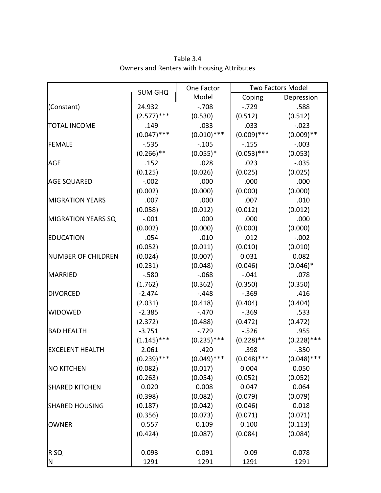|                           | <b>SUM GHQ</b> | One Factor    | Two Factors Model |               |  |  |
|---------------------------|----------------|---------------|-------------------|---------------|--|--|
|                           |                | Model         | Coping            | Depression    |  |  |
| (Constant)                | 24.932         | $-.708$       | $-0.729$          | .588          |  |  |
|                           | $(2.577)$ ***  | (0.530)       | (0.512)           | (0.512)       |  |  |
| <b>TOTAL INCOME</b>       | .149           | .033          | .033              | $-.023$       |  |  |
|                           | $(0.047)$ ***  | $(0.010)$ *** | $(0.009)$ ***     | $(0.009)$ **  |  |  |
| <b>FEMALE</b>             | $-0.535$       | $-.105$       | $-0.155$          | $-.003$       |  |  |
|                           | $(0.266)$ **   | $(0.055)*$    | $(0.053)$ ***     | (0.053)       |  |  |
| <b>AGE</b>                | .152           | .028          | .023              | $-.035$       |  |  |
|                           | (0.125)        | (0.026)       | (0.025)           | (0.025)       |  |  |
| <b>AGE SQUARED</b>        | $-.002$        | .000          | .000              | .000          |  |  |
|                           | (0.002)        | (0.000)       | (0.000)           | (0.000)       |  |  |
| <b>MIGRATION YEARS</b>    | .007           | .000          | .007              | .010          |  |  |
|                           | (0.058)        | (0.012)       | (0.012)           | (0.012)       |  |  |
| <b>MIGRATION YEARS SQ</b> | $-.001$        | .000          | .000              | .000          |  |  |
|                           | (0.002)        | (0.000)       | (0.000)           | (0.000)       |  |  |
| <b>EDUCATION</b>          | .054           | .010          | .012              | $-.002$       |  |  |
|                           | (0.052)        | (0.011)       | (0.010)           | (0.010)       |  |  |
| <b>NUMBER OF CHILDREN</b> | (0.024)        | (0.007)       | 0.031             | 0.082         |  |  |
|                           | (0.231)        | (0.048)       | (0.046)           | $(0.046)*$    |  |  |
| <b>MARRIED</b>            | $-0.580$       | $-068$        | $-.041$           | .078          |  |  |
|                           | (1.762)        | (0.362)       | (0.350)           | (0.350)       |  |  |
| <b>DIVORCED</b>           | $-2.474$       | $-.448$       | $-.369$           | .416          |  |  |
|                           | (2.031)        | (0.418)       | (0.404)           | (0.404)       |  |  |
| <b>WIDOWED</b>            | $-2.385$       | $-.470$       | $-.369$           | .533          |  |  |
|                           | (2.372)        | (0.488)       | (0.472)           | (0.472)       |  |  |
| <b>BAD HEALTH</b>         | $-3.751$       | $-0.729$      | $-.526$           | .955          |  |  |
|                           | $(1.145)$ ***  | $(0.235)$ *** | $(0.228)$ **      | $(0.228)$ *** |  |  |
| <b>EXCELENT HEALTH</b>    | 2.061          | .420          | .398              | $-0.350$      |  |  |
|                           | $(0.239)$ ***  | $(0.049)$ *** | $(0.048)$ ***     | $(0.048)$ *** |  |  |
| <b>NO KITCHEN</b>         | (0.082)        | (0.017)       | 0.004             | 0.050         |  |  |
|                           | (0.263)        | (0.054)       | (0.052)           | (0.052)       |  |  |
| <b>SHARED KITCHEN</b>     | 0.020          | 0.008         | 0.047             | 0.064         |  |  |
|                           | (0.398)        | (0.082)       | (0.079)           | (0.079)       |  |  |
| <b>SHARED HOUSING</b>     | (0.187)        | (0.042)       | (0.046)           | 0.018         |  |  |
|                           | (0.356)        | (0.073)       | (0.071)           | (0.071)       |  |  |
| <b>OWNER</b>              | 0.557          | 0.109         | 0.100             | (0.113)       |  |  |
|                           | (0.424)        | (0.087)       | (0.084)           | (0.084)       |  |  |
| R <sub>SQ</sub>           | 0.093          | 0.091         | 0.09              | 0.078         |  |  |
| N                         | 1291           | 1291          | 1291              | 1291          |  |  |

Table 3.4 Owners and Renters with Housing Attributes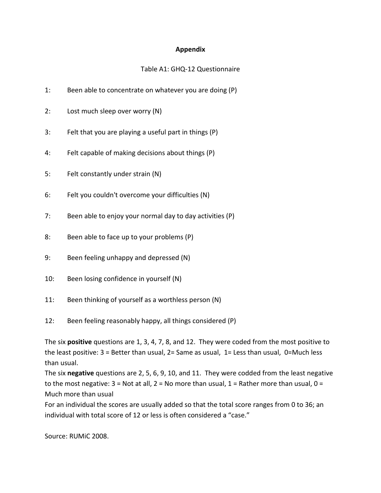#### **Appendix**

## Table A1: GHQ-12 Questionnaire

- 1: Been able to concentrate on whatever you are doing (P)
- 2: Lost much sleep over worry (N)
- 3: Felt that you are playing a useful part in things (P)
- 4: Felt capable of making decisions about things (P)
- 5: Felt constantly under strain (N)
- 6: Felt you couldn't overcome your difficulties (N)
- 7: Been able to enjoy your normal day to day activities (P)
- 8: Been able to face up to your problems (P)
- 9: Been feeling unhappy and depressed (N)
- 10: Been losing confidence in yourself (N)
- 11: Been thinking of yourself as a worthless person (N)
- 12: Been feeling reasonably happy, all things considered (P)

The six **positive** questions are 1, 3, 4, 7, 8, and 12. They were coded from the most positive to the least positive:  $3$  = Better than usual,  $2$ = Same as usual,  $1$ = Less than usual,  $0$ =Much less than usual.

The six **negative** questions are 2, 5, 6, 9, 10, and 11. They were codded from the least negative to the most negative:  $3 = Not$  at all,  $2 = No$  more than usual,  $1 = Rather$  more than usual,  $0 =$ Much more than usual

For an individual the scores are usually added so that the total score ranges from 0 to 36; an individual with total score of 12 or less is often considered a "case."

Source: RUMiC 2008.